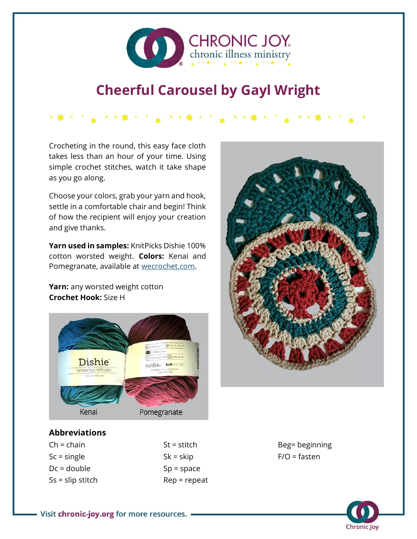

## **Cheerful Carousel by Gayl Wright**

Crocheting in the round, this easy face cloth takes less than an hour of your time. Using simple crochet stitches, watch it take shape as you go along.

医腺内的 医神经腺的 的复数医眼的 的复数医眼镜的

Choose your colors, grab your yarn and hook, settle in a comfortable chair and begin! Think of how the recipient will enjoy your creation and give thanks.

**Yarn used in samples:** KnitPicks Dishie 100% cotton worsted weight. **Colors:** Kenai and Pomegranate, available at [wecrochet.com.](https://wecrochet.com/)

**Yarn:** any worsted weight cotton **Crochet Hook:** Size H





## **Abbreviations**

 $St = stitch$  $Sk = skip$  $Sp = space$ Rep = repeat Beg= beginning  $F/O =$  fasten